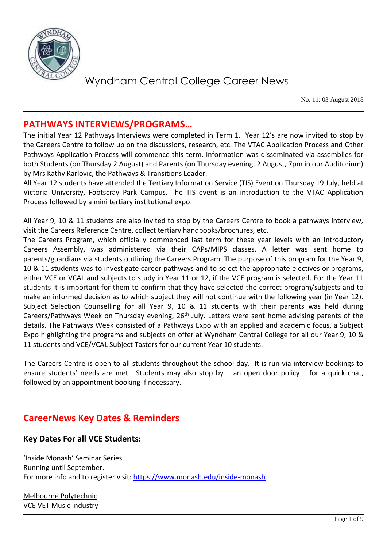

No. 11: 03 August 2018

### **PATHWAYS INTERVIEWS/PROGRAMS…**

The initial Year 12 Pathways Interviews were completed in Term 1. Year 12's are now invited to stop by the Careers Centre to follow up on the discussions, research, etc. The VTAC Application Process and Other Pathways Application Process will commence this term. Information was disseminated via assemblies for both Students (on Thursday 2 August) and Parents (on Thursday evening, 2 August, 7pm in our Auditorium) by Mrs Kathy Karlovic, the Pathways & Transitions Leader.

All Year 12 students have attended the Tertiary Information Service (TIS) Event on Thursday 19 July, held at Victoria University, Footscray Park Campus. The TIS event is an introduction to the VTAC Application Process followed by a mini tertiary institutional expo.

All Year 9, 10 & 11 students are also invited to stop by the Careers Centre to book a pathways interview, visit the Careers Reference Centre, collect tertiary handbooks/brochures, etc.

The Careers Program, which officially commenced last term for these year levels with an Introductory Careers Assembly, was administered via their CAPs/MIPS classes. A letter was sent home to parents/guardians via students outlining the Careers Program. The purpose of this program for the Year 9, 10 & 11 students was to investigate career pathways and to select the appropriate electives or programs, either VCE or VCAL and subjects to study in Year 11 or 12, if the VCE program is selected. For the Year 11 students it is important for them to confirm that they have selected the correct program/subjects and to make an informed decision as to which subject they will not continue with the following year (in Year 12). Subject Selection Counselling for all Year 9, 10 & 11 students with their parents was held during Careers/Pathways Week on Thursday evening, 26<sup>th</sup> July. Letters were sent home advising parents of the details. The Pathways Week consisted of a Pathways Expo with an applied and academic focus, a Subject Expo highlighting the programs and subjects on offer at Wyndham Central College for all our Year 9, 10 & 11 students and VCE/VCAL Subject Tasters for our current Year 10 students.

The Careers Centre is open to all students throughout the school day. It is run via interview bookings to ensure students' needs are met. Students may also stop by  $-$  an open door policy  $-$  for a quick chat, followed by an appointment booking if necessary.

### **CareerNews Key Dates & Reminders**

#### **Key Dates For all VCE Students:**

'Inside Monash' Seminar Series Running until September. For more info and to register visit:<https://www.monash.edu/inside-monash>

Melbourne Polytechnic VCE VET Music Industry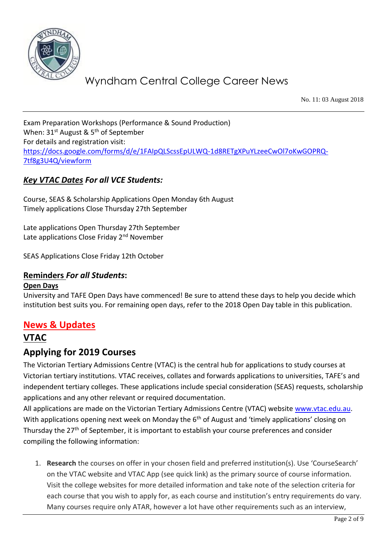

No. 11: 03 August 2018

Exam Preparation Workshops (Performance & Sound Production) When: 31<sup>st</sup> August & 5<sup>th</sup> of September For details and registration visit: [https://docs.google.com/forms/d/e/1FAIpQLScssEpULWQ-1d8RETgXPuYLzeeCwOl7oKwGOPRQ-](https://docs.google.com/forms/d/e/1FAIpQLScssEpULWQ-1d8RETgXPuYLzeeCwOl7oKwGOPRQ-7tf8g3U4Q/viewform)[7tf8g3U4Q/viewform](https://docs.google.com/forms/d/e/1FAIpQLScssEpULWQ-1d8RETgXPuYLzeeCwOl7oKwGOPRQ-7tf8g3U4Q/viewform)

#### *Key VTAC Dates For all VCE Students:*

Course, SEAS & Scholarship Applications Open Monday 6th August Timely applications Close Thursday 27th September

Late applications Open Thursday 27th September Late applications Close Friday 2<sup>nd</sup> November

SEAS Applications Close Friday 12th October

#### **Reminders** *For all Students***:**

#### **Open Days**

University and TAFE Open Days have commenced! Be sure to attend these days to help you decide which institution best suits you. For remaining open days, refer to the 2018 Open Day table in this publication.

#### **News & Updates**

### **VTAC**

#### **Applying for 2019 Courses**

The Victorian Tertiary Admissions Centre (VTAC) is the central hub for applications to study courses at Victorian tertiary institutions. VTAC receives, collates and forwards applications to universities, TAFE's and independent tertiary colleges. These applications include special consideration (SEAS) requests, scholarship applications and any other relevant or required documentation.

All applications are made on the Victorian Tertiary Admissions Centre (VTAC) website [www.vtac.edu.au.](http://www.vtac.edu.au/) With applications opening next week on Monday the  $6<sup>th</sup>$  of August and 'timely applications' closing on Thursday the 27<sup>th</sup> of September, it is important to establish your course preferences and consider compiling the following information:

1. **Research** the courses on offer in your chosen field and preferred institution(s). Use 'CourseSearch' on the VTAC website and VTAC App (see quick link) as the primary source of course information. Visit the college websites for more detailed information and take note of the selection criteria for each course that you wish to apply for, as each course and institution's entry requirements do vary. Many courses require only ATAR, however a lot have other requirements such as an interview,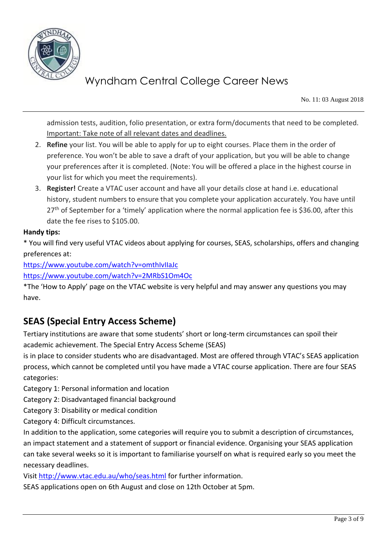

No. 11: 03 August 2018

admission tests, audition, folio presentation, or extra form/documents that need to be completed. Important: Take note of all relevant dates and deadlines.

- 2. **Refine** your list. You will be able to apply for up to eight courses. Place them in the order of preference. You won't be able to save a draft of your application, but you will be able to change your preferences after it is completed. (Note: You will be offered a place in the highest course in your list for which you meet the requirements).
- 3. **Register!** Create a VTAC user account and have all your details close at hand i.e. educational history, student numbers to ensure that you complete your application accurately. You have until  $27<sup>th</sup>$  of September for a 'timely' application where the normal application fee is \$36.00, after this date the fee rises to \$105.00.

#### **Handy tips:**

\* You will find very useful VTAC videos about applying for courses, SEAS, scholarships, offers and changing preferences at:

<https://www.youtube.com/watch?v=omthIvIIaJc>

<https://www.youtube.com/watch?v=2MRbS1Om4Oc>

\*The 'How to Apply' page on the VTAC website is very helpful and may answer any questions you may have.

### **SEAS (Special Entry Access Scheme)**

Tertiary institutions are aware that some students' short or long-term circumstances can spoil their academic achievement. The Special Entry Access Scheme (SEAS)

is in place to consider students who are disadvantaged. Most are offered through VTAC's SEAS application process, which cannot be completed until you have made a VTAC course application. There are four SEAS categories:

Category 1: Personal information and location

Category 2: Disadvantaged financial background

Category 3: Disability or medical condition

Category 4: Difficult circumstances.

In addition to the application, some categories will require you to submit a description of circumstances, an impact statement and a statement of support or financial evidence. Organising your SEAS application can take several weeks so it is important to familiarise yourself on what is required early so you meet the necessary deadlines.

Visi[t http://www.vtac.edu.au/who/seas.html](http://www.vtac.edu.au/who/seas.html) for further information.

SEAS applications open on 6th August and close on 12th October at 5pm.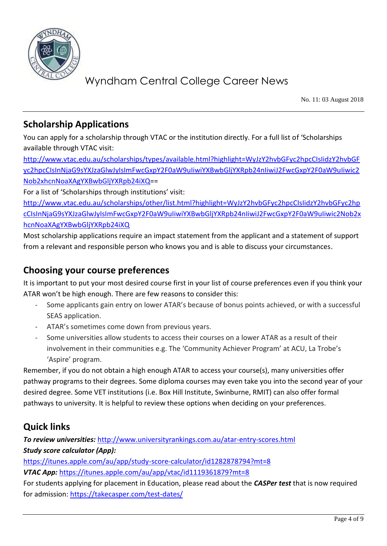

No. 11: 03 August 2018

### **Scholarship Applications**

You can apply for a scholarship through VTAC or the institution directly. For a full list of 'Scholarships available through VTAC visit:

[http://www.vtac.edu.au/scholarships/types/available.html?highlight=WyJzY2hvbGFyc2hpcCIsIidzY2hvbGF](http://www.vtac.edu.au/scholarships/types/available.html?highlight=WyJzY2hvbGFyc2hpcCIsIidzY2hvbGFyc2hpcCIsInNjaG9sYXJzaGlwJyIsImFwcGxpY2F0aW9uIiwiYXBwbGljYXRpb24nIiwiJ2FwcGxpY2F0aW9uIiwic2Nob2xhcnNoaXAgYXBwbGljYXRpb24iXQ) [yc2hpcCIsInNjaG9sYXJzaGlwJyIsImFwcGxpY2F0aW9uIiwiYXBwbGljYXRpb24nIiwiJ2FwcGxpY2F0aW9uIiwic2](http://www.vtac.edu.au/scholarships/types/available.html?highlight=WyJzY2hvbGFyc2hpcCIsIidzY2hvbGFyc2hpcCIsInNjaG9sYXJzaGlwJyIsImFwcGxpY2F0aW9uIiwiYXBwbGljYXRpb24nIiwiJ2FwcGxpY2F0aW9uIiwic2Nob2xhcnNoaXAgYXBwbGljYXRpb24iXQ) [Nob2xhcnNoaXAgYXBwbGljYXRpb24iXQ=](http://www.vtac.edu.au/scholarships/types/available.html?highlight=WyJzY2hvbGFyc2hpcCIsIidzY2hvbGFyc2hpcCIsInNjaG9sYXJzaGlwJyIsImFwcGxpY2F0aW9uIiwiYXBwbGljYXRpb24nIiwiJ2FwcGxpY2F0aW9uIiwic2Nob2xhcnNoaXAgYXBwbGljYXRpb24iXQ)=

For a list of 'Scholarships through institutions' visit:

[http://www.vtac.edu.au/scholarships/other/list.html?highlight=WyJzY2hvbGFyc2hpcCIsIidzY2hvbGFyc2hp](http://www.vtac.edu.au/scholarships/other/list.html?highlight=WyJzY2hvbGFyc2hpcCIsIidzY2hvbGFyc2hpcCIsInNjaG9sYXJzaGlwJyIsImFwcGxpY2F0aW9uIiwiYXBwbGljYXRpb24nIiwiJ2FwcGxpY2F0aW9uIiwic2Nob2xhcnNoaXAgYXBwbGljYXRpb24iXQ) [cCIsInNjaG9sYXJzaGlwJyIsImFwcGxpY2F0aW9uIiwiYXBwbGljYXRpb24nIiwiJ2FwcGxpY2F0aW9uIiwic2Nob2x](http://www.vtac.edu.au/scholarships/other/list.html?highlight=WyJzY2hvbGFyc2hpcCIsIidzY2hvbGFyc2hpcCIsInNjaG9sYXJzaGlwJyIsImFwcGxpY2F0aW9uIiwiYXBwbGljYXRpb24nIiwiJ2FwcGxpY2F0aW9uIiwic2Nob2xhcnNoaXAgYXBwbGljYXRpb24iXQ) [hcnNoaXAgYXBwbGljYXRpb24iXQ](http://www.vtac.edu.au/scholarships/other/list.html?highlight=WyJzY2hvbGFyc2hpcCIsIidzY2hvbGFyc2hpcCIsInNjaG9sYXJzaGlwJyIsImFwcGxpY2F0aW9uIiwiYXBwbGljYXRpb24nIiwiJ2FwcGxpY2F0aW9uIiwic2Nob2xhcnNoaXAgYXBwbGljYXRpb24iXQ)

Most scholarship applications require an impact statement from the applicant and a statement of support from a relevant and responsible person who knows you and is able to discuss your circumstances.

### **Choosing your course preferences**

It is important to put your most desired course first in your list of course preferences even if you think your ATAR won't be high enough. There are few reasons to consider this:

- Some applicants gain entry on lower ATAR's because of bonus points achieved, or with a successful SEAS application.
- ATAR's sometimes come down from previous years.
- Some universities allow students to access their courses on a lower ATAR as a result of their involvement in their communities e.g. The 'Community Achiever Program' at ACU, La Trobe's 'Aspire' program.

Remember, if you do not obtain a high enough ATAR to access your course(s), many universities offer pathway programs to their degrees. Some diploma courses may even take you into the second year of your desired degree. Some VET institutions (i.e. Box Hill Institute, Swinburne, RMIT) can also offer formal pathways to university. It is helpful to review these options when deciding on your preferences.

### **Quick links**

*To review universities:* <http://www.universityrankings.com.au/atar-entry-scores.html> *Study score calculator (App):* <https://itunes.apple.com/au/app/study-score-calculator/id1282878794?mt=8>

*VTAC App:* <https://itunes.apple.com/au/app/vtac/id1119361879?mt=8>

For students applying for placement in Education, please read about the *CASPer test* that is now required for admission:<https://takecasper.com/test-dates/>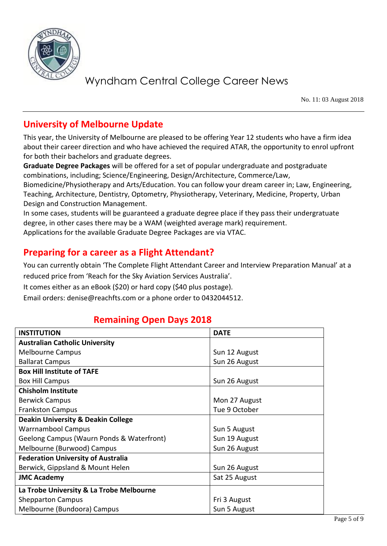

No. 11: 03 August 2018

### **University of Melbourne Update**

This year, the University of Melbourne are pleased to be offering Year 12 students who have a firm idea about their career direction and who have achieved the required ATAR, the opportunity to enrol upfront for both their bachelors and graduate degrees.

**Graduate Degree Packages** will be offered for a set of popular undergraduate and postgraduate combinations, including; Science/Engineering, Design/Architecture, Commerce/Law,

Biomedicine/Physiotherapy and Arts/Education. You can follow your dream career in; Law, Engineering, Teaching, Architecture, Dentistry, Optometry, Physiotherapy, Veterinary, Medicine, Property, Urban Design and Construction Management.

In some cases, students will be guaranteed a graduate degree place if they pass their undergratuate degree, in other cases there may be a WAM (weighted average mark) requirement. Applications for the available Graduate Degree Packages are via VTAC.

### **Preparing for a career as a Flight Attendant?**

You can currently obtain 'The Complete Flight Attendant Career and Interview Preparation Manual' at a reduced price from 'Reach for the Sky Aviation Services Australia'.

It comes either as an eBook (\$20) or hard copy (\$40 plus postage).

Email orders: denise@reachfts.com or a phone order to 0432044512.

### **Remaining Open Days 2018**

| <b>INSTITUTION</b>                            | <b>DATE</b>   |
|-----------------------------------------------|---------------|
| <b>Australian Catholic University</b>         |               |
| <b>Melbourne Campus</b>                       | Sun 12 August |
| <b>Ballarat Campus</b>                        | Sun 26 August |
| <b>Box Hill Institute of TAFE</b>             |               |
| <b>Box Hill Campus</b>                        | Sun 26 August |
| <b>Chisholm Institute</b>                     |               |
| <b>Berwick Campus</b>                         | Mon 27 August |
| <b>Frankston Campus</b>                       | Tue 9 October |
| <b>Deakin University &amp; Deakin College</b> |               |
| <b>Warrnambool Campus</b>                     | Sun 5 August  |
| Geelong Campus (Waurn Ponds & Waterfront)     | Sun 19 August |
| Melbourne (Burwood) Campus                    | Sun 26 August |
| <b>Federation University of Australia</b>     |               |
| Berwick, Gippsland & Mount Helen              | Sun 26 August |
| <b>JMC Academy</b>                            | Sat 25 August |
| La Trobe University & La Trobe Melbourne      |               |
| <b>Shepparton Campus</b>                      | Fri 3 August  |
| Melbourne (Bundoora) Campus                   | Sun 5 August  |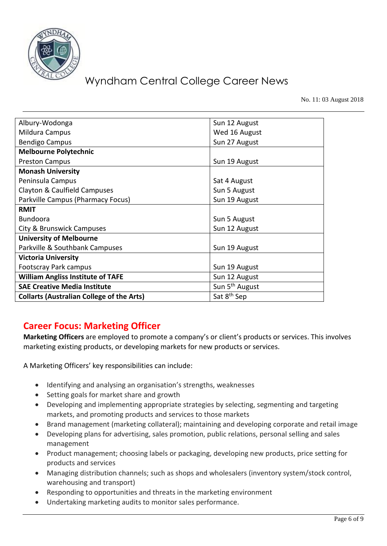

No. 11: 03 August 2018

| Albury-Wodonga                                   | Sun 12 August              |
|--------------------------------------------------|----------------------------|
| Mildura Campus                                   | Wed 16 August              |
| <b>Bendigo Campus</b>                            | Sun 27 August              |
| <b>Melbourne Polytechnic</b>                     |                            |
| <b>Preston Campus</b>                            | Sun 19 August              |
| <b>Monash University</b>                         |                            |
| Peninsula Campus                                 | Sat 4 August               |
| Clayton & Caulfield Campuses                     | Sun 5 August               |
| Parkville Campus (Pharmacy Focus)                | Sun 19 August              |
| <b>RMIT</b>                                      |                            |
| <b>Bundoora</b>                                  | Sun 5 August               |
| City & Brunswick Campuses                        | Sun 12 August              |
| <b>University of Melbourne</b>                   |                            |
| Parkville & Southbank Campuses                   | Sun 19 August              |
| <b>Victoria University</b>                       |                            |
| Footscray Park campus                            | Sun 19 August              |
| <b>William Angliss Institute of TAFE</b>         | Sun 12 August              |
| <b>SAE Creative Media Institute</b>              | Sun 5 <sup>th</sup> August |
| <b>Collarts (Australian College of the Arts)</b> | Sat 8 <sup>th</sup> Sep    |

### **Career Focus: Marketing Officer**

**Marketing Officers** are employed to promote a company's or client's products or services. This involves marketing existing products, or developing markets for new products or services.

A Marketing Officers' key responsibilities can include:

- Identifying and analysing an organisation's strengths, weaknesses
- Setting goals for market share and growth
- Developing and implementing appropriate strategies by selecting, segmenting and targeting markets, and promoting products and services to those markets
- Brand management (marketing collateral); maintaining and developing corporate and retail image
- Developing plans for advertising, sales promotion, public relations, personal selling and sales management
- Product management; choosing labels or packaging, developing new products, price setting for products and services
- Managing distribution channels; such as shops and wholesalers (inventory system/stock control, warehousing and transport)
- Responding to opportunities and threats in the marketing environment
- Undertaking marketing audits to monitor sales performance.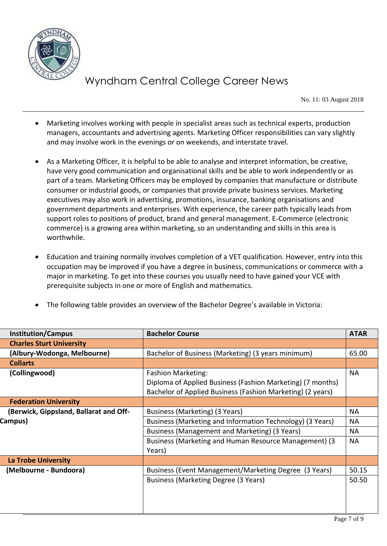

No. 11: 03 August 2018

- Marketing involves working with people in specialist areas such as technical experts, production managers, accountants and advertising agents. Marketing Officer responsibilities can vary slightly and may involve work in the evenings or on weekends, and interstate travel.
- As a Marketing Officer, it is helpful to be able to analyse and interpret information, be creative, have very good communication and organisational skills and be able to work independently or as part of a team. Marketing Officers may be employed by companies that manufacture or distribute consumer or industrial goods, or companies that provide private business services. Marketing executives may also work in advertising, promotions, insurance, banking organisations and government departments and enterprises. With experience, the career path typically leads from support roles to positions of product, brand and general management. E-Commerce (electronic commerce) is a growing area within marketing, so an understanding and skills in this area is worthwhile.
- Education and training normally involves completion of a VET qualification. However, entry into this occupation may be improved if you have a degree in business, communications or commerce with a major in marketing. To get into these courses you usually need to have gained your VCE with prerequisite subjects in one or more of English and mathematics.
- The following table provides an overview of the Bachelor Degree's available in Victoria:

| <b>Institution/Campus</b>              | <b>Bachelor Course</b>                                     | <b>ATAR</b> |
|----------------------------------------|------------------------------------------------------------|-------------|
| <b>Charles Sturt University</b>        |                                                            |             |
| (Albury-Wodonga, Melbourne)            | Bachelor of Business (Marketing) (3 years minimum)         | 65.00       |
| <b>Collarts</b>                        |                                                            |             |
| (Collingwood)                          | <b>Fashion Marketing:</b>                                  | <b>NA</b>   |
|                                        | Diploma of Applied Business (Fashion Marketing) (7 months) |             |
|                                        | Bachelor of Applied Business (Fashion Marketing) (2 years) |             |
| <b>Federation University</b>           |                                                            |             |
| (Berwick, Gippsland, Ballarat and Off- | Business (Marketing) (3 Years)                             | <b>NA</b>   |
| Campus)                                | Business (Marketing and Information Technology) (3 Years)  | <b>NA</b>   |
|                                        | Business (Management and Marketing) (3 Years)              | <b>NA</b>   |
|                                        | Business (Marketing and Human Resource Management) (3      | <b>NA</b>   |
|                                        | Years)                                                     |             |
| <b>La Trobe University</b>             |                                                            |             |
| (Melbourne - Bundoora)                 | Business (Event Management/Marketing Degree (3 Years)      | 50.15       |
|                                        | Business (Marketing Degree (3 Years)                       | 50.50       |
|                                        |                                                            |             |
|                                        |                                                            |             |
|                                        |                                                            |             |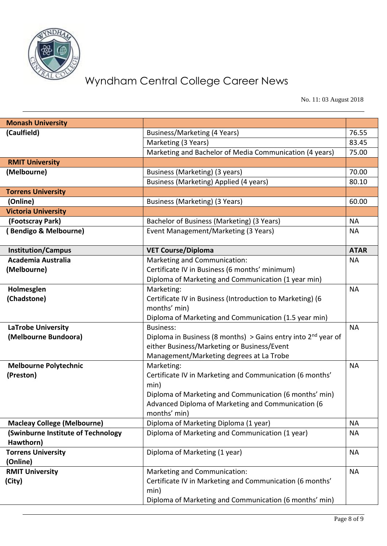

No. 11: 03 August 2018

| <b>Monash University</b>           |                                                                                          |             |
|------------------------------------|------------------------------------------------------------------------------------------|-------------|
| (Caulfield)                        | Business/Marketing (4 Years)                                                             | 76.55       |
|                                    | Marketing (3 Years)                                                                      | 83.45       |
|                                    | Marketing and Bachelor of Media Communication (4 years)                                  | 75.00       |
| <b>RMIT University</b>             |                                                                                          |             |
| (Melbourne)                        | Business (Marketing) (3 years)                                                           | 70.00       |
|                                    | Business (Marketing) Applied (4 years)                                                   | 80.10       |
| <b>Torrens University</b>          |                                                                                          |             |
| (Online)                           | Business (Marketing) (3 Years)                                                           | 60.00       |
| <b>Victoria University</b>         |                                                                                          |             |
| (Footscray Park)                   | Bachelor of Business (Marketing) (3 Years)                                               | <b>NA</b>   |
| (Bendigo & Melbourne)              | Event Management/Marketing (3 Years)                                                     | <b>NA</b>   |
|                                    |                                                                                          |             |
| <b>Institution/Campus</b>          | <b>VET Course/Diploma</b>                                                                | <b>ATAR</b> |
| Academia Australia                 | Marketing and Communication:                                                             | <b>NA</b>   |
| (Melbourne)                        | Certificate IV in Business (6 months' minimum)                                           |             |
|                                    | Diploma of Marketing and Communication (1 year min)                                      |             |
| Holmesglen                         | Marketing:                                                                               | <b>NA</b>   |
| (Chadstone)                        | Certificate IV in Business (Introduction to Marketing) (6                                |             |
|                                    | months' min)                                                                             |             |
|                                    | Diploma of Marketing and Communication (1.5 year min)                                    |             |
| <b>LaTrobe University</b>          | <b>Business:</b>                                                                         | <b>NA</b>   |
| (Melbourne Bundoora)               | Diploma in Business (8 months) > Gains entry into $2nd$ year of                          |             |
|                                    | either Business/Marketing or Business/Event                                              |             |
|                                    | Management/Marketing degrees at La Trobe                                                 |             |
| <b>Melbourne Polytechnic</b>       | Marketing:                                                                               | <b>NA</b>   |
| (Preston)                          | Certificate IV in Marketing and Communication (6 months'                                 |             |
|                                    | min)                                                                                     |             |
|                                    | Diploma of Marketing and Communication (6 months' min)                                   |             |
|                                    | Advanced Diploma of Marketing and Communication (6                                       |             |
|                                    | months' min)                                                                             |             |
| <b>Macleay College (Melbourne)</b> | Diploma of Marketing Diploma (1 year)                                                    | <b>NA</b>   |
| (Swinburne Institute of Technology | Diploma of Marketing and Communication (1 year)                                          | <b>NA</b>   |
| Hawthorn)                          |                                                                                          |             |
| <b>Torrens University</b>          | Diploma of Marketing (1 year)                                                            | <b>NA</b>   |
| (Online)                           |                                                                                          | <b>NA</b>   |
| <b>RMIT University</b>             | Marketing and Communication:<br>Certificate IV in Marketing and Communication (6 months' |             |
| (City)                             | min)                                                                                     |             |
|                                    | Diploma of Marketing and Communication (6 months' min)                                   |             |
|                                    |                                                                                          |             |